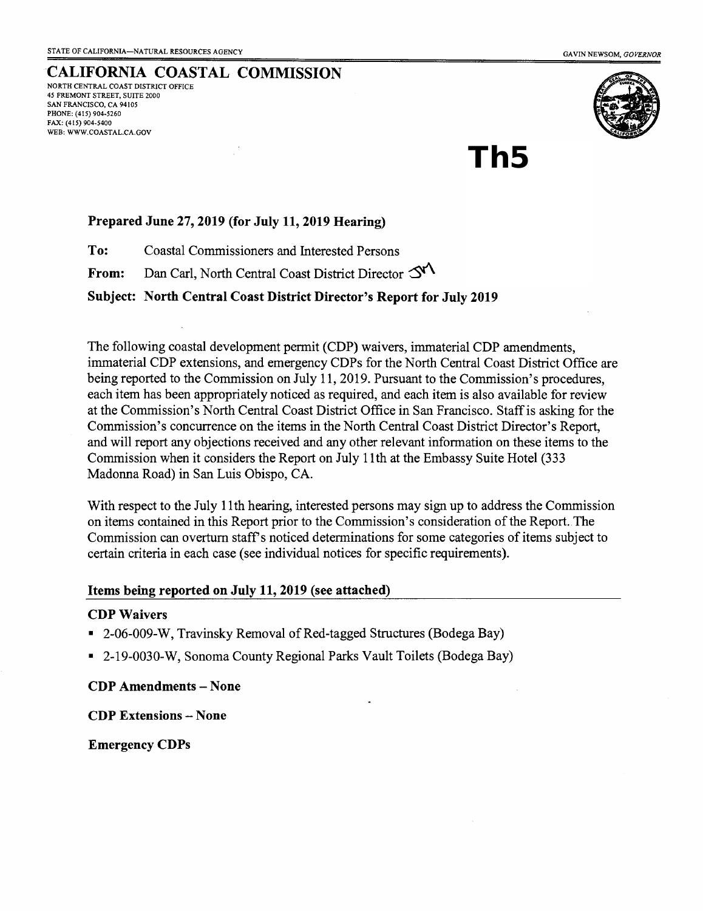#### CALIFORNIA COASTAL COMMISSION NORTH CENTRAL COAST DISTRICT OFFICE 45 FREMONT STREET, SUITE 2OOO SAN FRANCISCO, CA 94105 PHONE: (415) 904-5260 FAX: (415) 904-5400 WEB: WWW.COASTAL.CA.GOV



# Th5

### Prepared June 27, 2019 (for July 11, 2019 Hearing)

To: Coastal Commissioners and Interested Persons

From: Dan Carl, North Central Coast District Director  $\Im$ 

Subject: North Central Coast District Director's Report for July 2019

The following coastal development permit (CDP) waivers, immaterial CDP amendments, immaterial CDP extensions, and emergency CDPs for the North Central Coast District Office are being reported to the Commission on July 11, 2019. Pursuant to the Commission's procedures, each item has been appropriately noticed as required, and each item is also available for review at the Commission's North Central Coast District Office in San Francisco. Staffis asking for the Commission's concurrence on the items in the North Central Coast District Director's Report, and will report any objections received and any other relevant information on these items to the Commission when it considers the Report on July 1lth at the Embassy Suite Hotel (333 Madonna Road) in San Luis Obispo, CA.

With respect to the July 1lth hearing, interested persons may sign up to address the Commission on iterns contained in this Report prior to the Commission's consideration of the Report. The Commission can overturn staff's noticed determinations for some categories of items subject to certain criteria in each case (see individual notices for specific requirements).

#### Items being reported on JuIy 11,2019 (see attached)

#### CDP Waivers

- 2-06-009-W, Travinsky Removal of Red-tagged Structures (Bodega Bay)
- 2-19-0030-W, Sonoma County Regional Parks Vault Toilets (Bodega Bay)

CDP Amendments - None

CDP Extensions - None

Emergency CDPs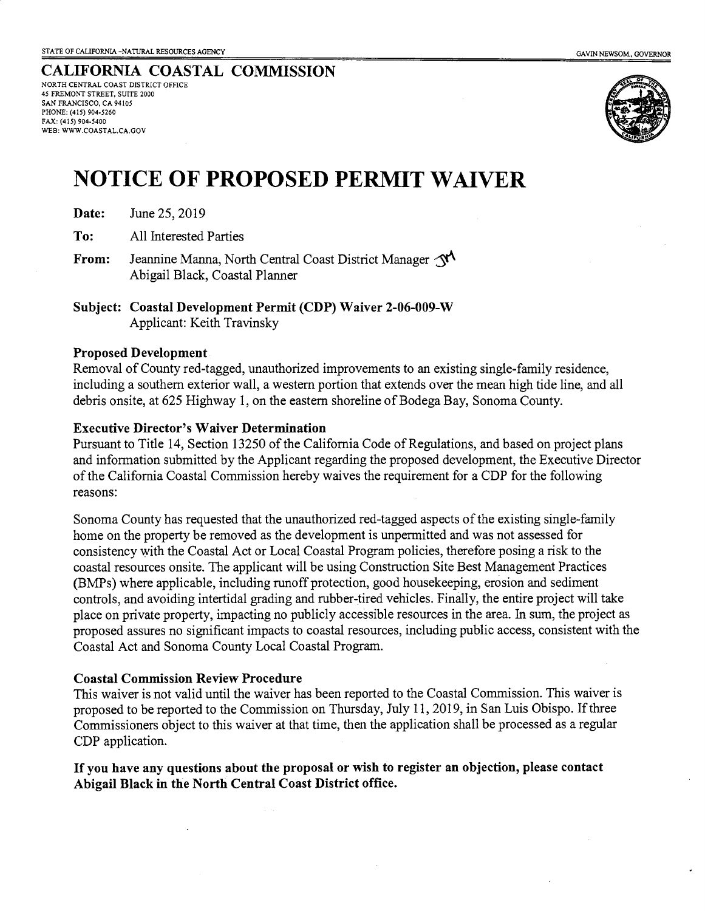### CALIFORNIA COASTAL COMMISSION

NORTH CENTRAL COAST DISTRICT OFFICE 45 FREMONT STREET, SUITE 2OOO SAN FRANCISCO, CA 94I05 PHONE: (415) 904-5260 FAX: (415) 904-5400 WEB: WWW.COASTAL.CA.GOV



## NOTICE OF PROPOSED PERMIT WATVER

- Date: June 25, 2019
- To: All Interested Parties
- From: Jeannine Manna, North Central Coast District Manager  $\mathcal{N}$ Abigail Black, Coastal Planner
- Subject: Coastal Development Permit (CDP) Waiver 2-06-009-W Applicant: Keith Travinsky

#### Proposed Development

Rernoval of County red-tagged, unauthorized improvements to an existing single-family residence, including a southem exterior wall, a westem portion that extends over the mean high tide line, and all debris onsite, at625 Highway 1, on the eastern shoreline of Bodega Bay, Sonoma County.

#### Executive Director's Waiver Determination

Pursuant to Title 14, Section 13250 of the California Code of Regulations, and based on project plans and information submitted by the Applicant regarding the proposed development, the Executive Director of the California Coastal Commission hereby waives the requirernent for a CDP for the following reasons:

Sonoma Countyhas requested that the unauthorized red+agged aspects of the existing single-family home on the property be removed as the development is unpermitted and was not assessed for consistency with the Coastal Act or Local Coastal Program policies, therefore posing a risk to the coastal resources onsite. The applicant will be using Construction Site Best Management Practices (BMPs) where applicable, including runoff protection, good housekeeping, erosion and sediment controls, and avoiding intertidal grading and rubber-tired vehicles. Finally, the entire project will take place on private property, impacting no publicly accessible resources in the area. In sum, the project as proposed assures no significant impacts to coastal resources, including public access, consistent with the Coastal Act and Sonoma County Local Coastal Program.

#### Coastal Commission Review Procedure

This waiver is not valid until the waiver has been reported to the Coastal Commission. This waiver is proposed to be reported to the Commission on Thursday, July 11,2019, in San Luis Obispo. If three Commissioners object to this waiver at that time, then the application shall be processed as a regular CDP application.

If you have any questions about the proposal or wish to register an objection, please contact Abigail Black in the North Central Coast District office.